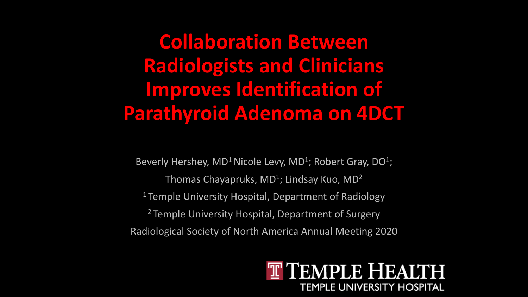**Collaboration Between Radiologists and Clinicians Improves Identification of Parathyroid Adenoma on 4DCT**

Beverly Hershey,  $MD<sup>1</sup>$  Nicole Levy,  $MD<sup>1</sup>$ ; Robert Gray,  $DO<sup>1</sup>$ ; Thomas Chayapruks,  $MD<sup>1</sup>$ ; Lindsay Kuo,  $MD<sup>2</sup>$ <sup>1</sup> Temple University Hospital, Department of Radiology <sup>2</sup> Temple University Hospital, Department of Surgery Radiological Society of North America Annual Meeting 2020

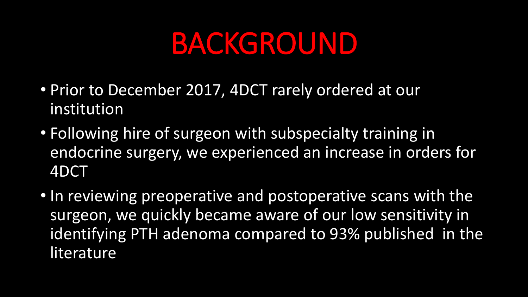## BACKGROUND

- Prior to December 2017, 4DCT rarely ordered at our institution
- Following hire of surgeon with subspecialty training in endocrine surgery, we experienced an increase in orders for 4DCT
- In reviewing preoperative and postoperative scans with the surgeon, we quickly became aware of our low sensitivity in identifying PTH adenoma compared to 93% published in the literature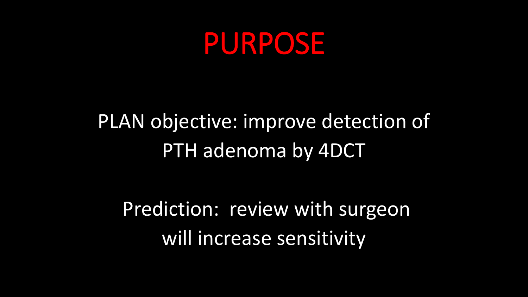## PURPOSE

#### PLAN objective: improve detection of PTH adenoma by 4DCT

Prediction: review with surgeon will increase sensitivity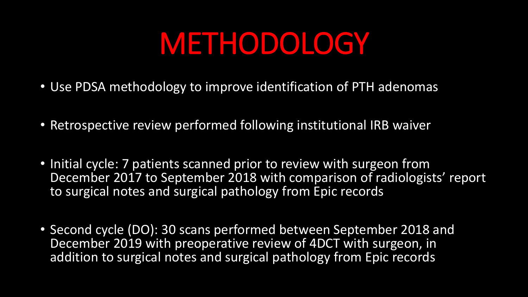## METHODOLOGY

- Use PDSA methodology to improve identification of PTH adenomas
- Retrospective review performed following institutional IRB waiver
- Initial cycle: 7 patients scanned prior to review with surgeon from December 2017 to September 2018 with comparison of radiologists' report to surgical notes and surgical pathology from Epic records
- Second cycle (DO): 30 scans performed between September 2018 and December 2019 with preoperative review of 4DCT with surgeon, in addition to surgical notes and surgical pathology from Epic records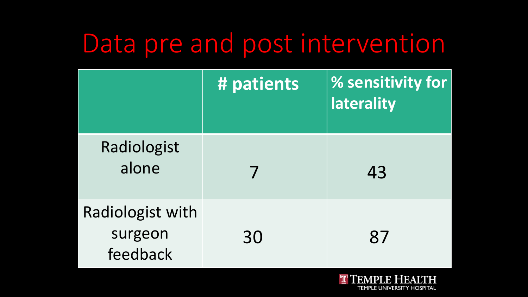#### Data pre and post intervention

|                                                | # patients | % sensitivity for<br>laterality |
|------------------------------------------------|------------|---------------------------------|
| Radiologist<br>alone                           |            | 43                              |
| <b>Radiologist with</b><br>surgeon<br>feedback | 30         | 87                              |

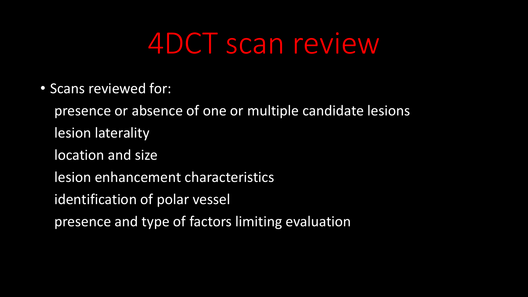## 4DCT scan review

• Scans reviewed for:

presence or absence of one or multiple candidate lesions lesion laterality location and size lesion enhancement characteristics identification of polar vessel

presence and type of factors limiting evaluation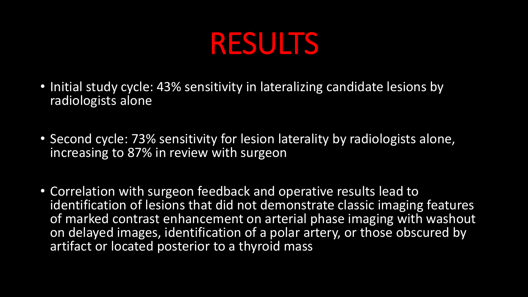

- Initial study cycle: 43% sensitivity in lateralizing candidate lesions by radiologists alone
- Second cycle: 73% sensitivity for lesion laterality by radiologists alone, increasing to 87% in review with surgeon
- Correlation with surgeon feedback and operative results lead to identification of lesions that did not demonstrate classic imaging features of marked contrast enhancement on arterial phase imaging with washout on delayed images, identification of a polar artery, or those obscured by artifact or located posterior to a thyroid mass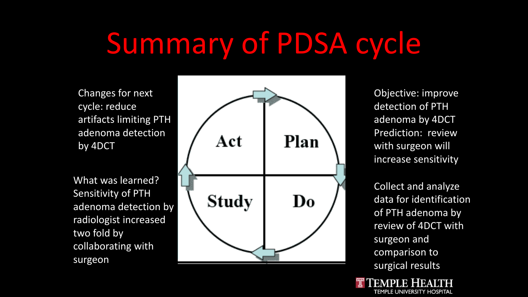# Summary of PDSA cycle

Changes for next cycle: reduce artifacts limiting PTH adenoma detection by 4DCT

What was learned? Sensitivity of PTH adenoma detection by radiologist increased two fold by collaborating with surgeon



Objective: improve detection of PTH adenoma by 4DCT Prediction: review with surgeon will increase sensitivity

Collect and analyze data for identification of PTH adenoma by review of 4DCT with surgeon and comparison to surgical results

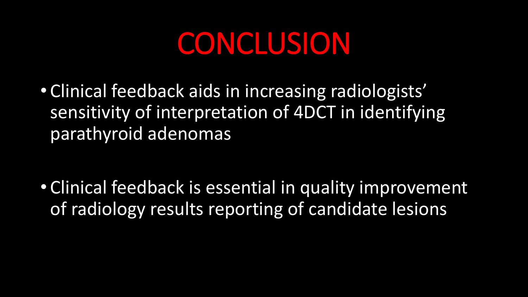## CONCLUSION

• Clinical feedback aids in increasing radiologists' sensitivity of interpretation of 4DCT in identifying parathyroid adenomas

• Clinical feedback is essential in quality improvement of radiology results reporting of candidate lesions